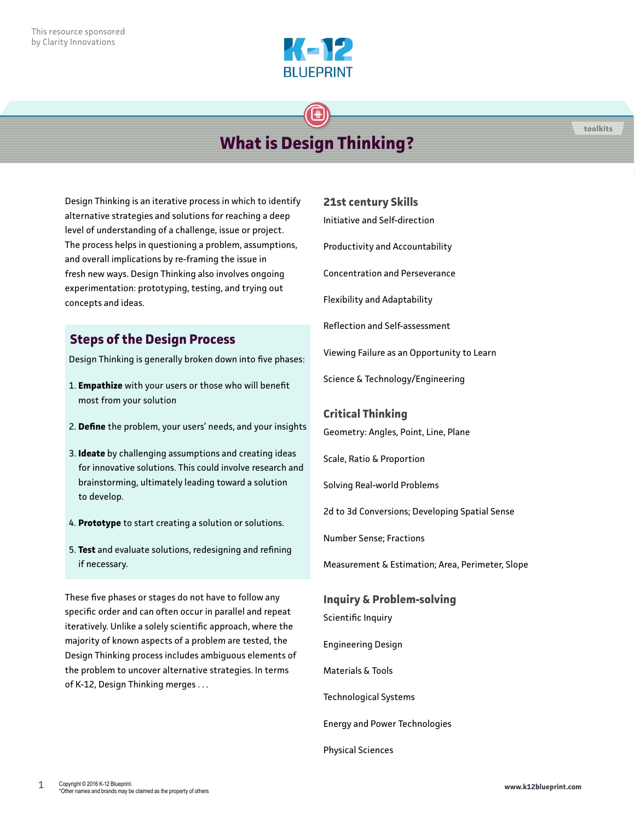

# **What is Design Thinking?**

Design Thinking is an iterative process in which to identify alternative strategies and solutions for reaching a deep level of understanding of a challenge, issue or project. The process helps in questioning a problem, assumptions, and overall implications by re-framing the issue in fresh new ways. Design Thinking also involves ongoing experimentation: prototyping, testing, and trying out concepts and ideas.

## **Steps of the Design Process**

Design Thinking is generally broken down into five phases:

- 1. **Empathize** with your users or those who will benefit most from your solution
- 2. **Define** the problem, your users' needs, and your insights
- 3. **Ideate** by challenging assumptions and creating ideas for innovative solutions. This could involve research and brainstorming, ultimately leading toward a solution to develop.
- 4. **Prototype** to start creating a solution or solutions.
- 5. **Test** and evaluate solutions, redesigning and refining if necessary.

These five phases or stages do not have to follow any specific order and can often occur in parallel and repeat iteratively. Unlike a solely scientific approach, where the majority of known aspects of a problem are tested, the Design Thinking process includes ambiguous elements of the problem to uncover alternative strategies. In terms of K-12, Design Thinking merges . . .

#### **21st century Skills**

Initiative and Self-direction

Productivity and Accountability

Concentration and Perseverance

Flexibility and Adaptability

Reflection and Self-assessment

Viewing Failure as an Opportunity to Learn

Science & Technology/Engineering

#### **Critical Thinking**

Geometry: Angles, Point, Line, Plane

Scale, Ratio & Proportion

Solving Real-world Problems

2d to 3d Conversions; Developing Spatial Sense

Number Sense; Fractions

Measurement & Estimation; Area, Perimeter, Slope

### **Inquiry & Problem-solving**

Scientific Inquiry

Engineering Design

Materials & Tools

Technological Systems

Energy and Power Technologies

Physical Sciences